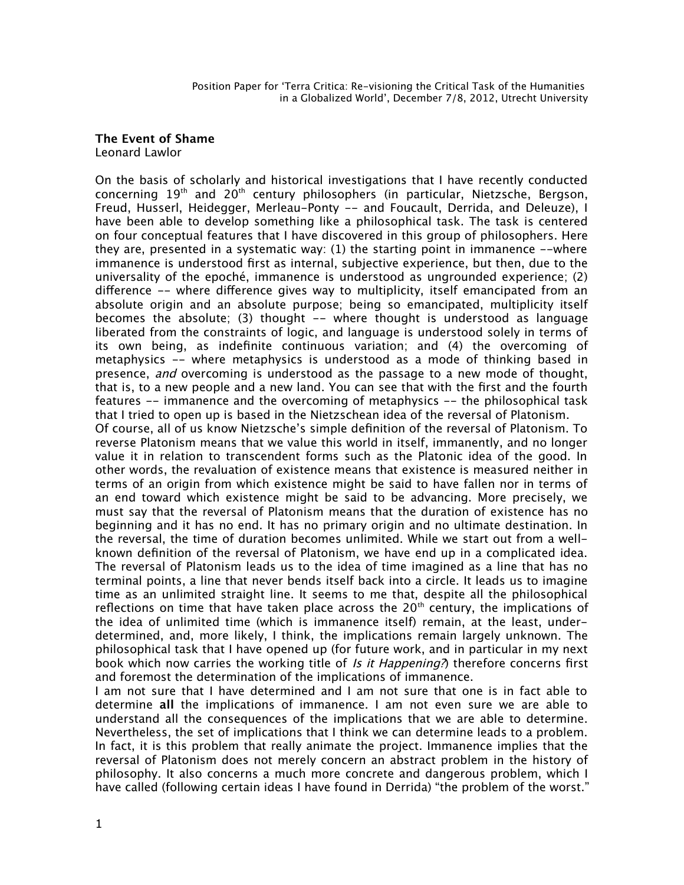## **The Event of Shame** Leonard Lawlor

On the basis of scholarly and historical investigations that I have recently conducted concerning 19th and 20th century philosophers (in particular, Nietzsche, Bergson, Freud, Husserl, Heidegger, Merleau-Ponty -- and Foucault, Derrida, and Deleuze), I have been able to develop something like a philosophical task. The task is centered on four conceptual features that I have discovered in this group of philosophers. Here they are, presented in a systematic way: (1) the starting point in immanence --where immanence is understood frst as internal, subjective experience, but then, due to the universality of the epoché, immanence is understood as ungrounded experience; (2) diference -- where diference gives way to multiplicity, itself emancipated from an absolute origin and an absolute purpose; being so emancipated, multiplicity itself becomes the absolute; (3) thought -- where thought is understood as language liberated from the constraints of logic, and language is understood solely in terms of its own being, as indefnite continuous variation; and (4) the overcoming of metaphysics -- where metaphysics is understood as a mode of thinking based in presence, and overcoming is understood as the passage to a new mode of thought, that is, to a new people and a new land. You can see that with the frst and the fourth features -- immanence and the overcoming of metaphysics -- the philosophical task that I tried to open up is based in the Nietzschean idea of the reversal of Platonism. Of course, all of us know Nietzsche's simple defnition of the reversal of Platonism. To reverse Platonism means that we value this world in itself, immanently, and no longer value it in relation to transcendent forms such as the Platonic idea of the good. In other words, the revaluation of existence means that existence is measured neither in terms of an origin from which existence might be said to have fallen nor in terms of an end toward which existence might be said to be advancing. More precisely, we must say that the reversal of Platonism means that the duration of existence has no beginning and it has no end. It has no primary origin and no ultimate destination. In the reversal, the time of duration becomes unlimited. While we start out from a wellknown defnition of the reversal of Platonism, we have end up in a complicated idea. The reversal of Platonism leads us to the idea of time imagined as a line that has no terminal points, a line that never bends itself back into a circle. It leads us to imagine time as an unlimited straight line. It seems to me that, despite all the philosophical reflections on time that have taken place across the  $20<sup>th</sup>$  century, the implications of the idea of unlimited time (which is immanence itself) remain, at the least, underdetermined, and, more likely, I think, the implications remain largely unknown. The philosophical task that I have opened up (for future work, and in particular in my next

book which now carries the working title of Is it Happening?) therefore concerns first and foremost the determination of the implications of immanence. I am not sure that I have determined and I am not sure that one is in fact able to determine **all** the implications of immanence. I am not even sure we are able to understand all the consequences of the implications that we are able to determine. Nevertheless, the set of implications that I think we can determine leads to a problem. In fact, it is this problem that really animate the project. Immanence implies that the reversal of Platonism does not merely concern an abstract problem in the history of philosophy. It also concerns a much more concrete and dangerous problem, which I have called (following certain ideas I have found in Derrida) "the problem of the worst."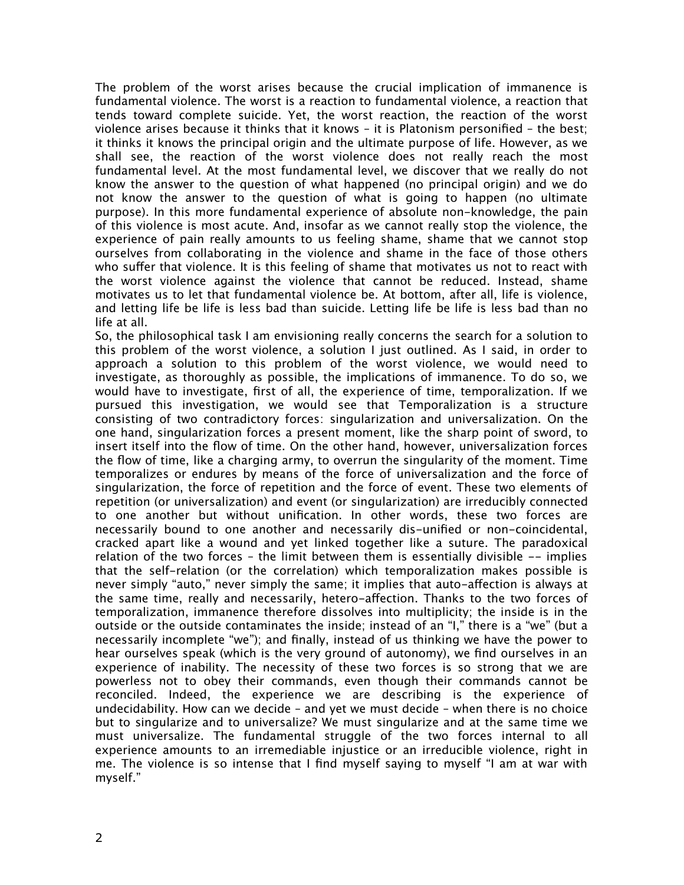The problem of the worst arises because the crucial implication of immanence is fundamental violence. The worst is a reaction to fundamental violence, a reaction that tends toward complete suicide. Yet, the worst reaction, the reaction of the worst violence arises because it thinks that it knows – it is Platonism personifed – the best; it thinks it knows the principal origin and the ultimate purpose of life. However, as we shall see, the reaction of the worst violence does not really reach the most fundamental level. At the most fundamental level, we discover that we really do not know the answer to the question of what happened (no principal origin) and we do not know the answer to the question of what is going to happen (no ultimate purpose). In this more fundamental experience of absolute non-knowledge, the pain of this violence is most acute. And, insofar as we cannot really stop the violence, the experience of pain really amounts to us feeling shame, shame that we cannot stop ourselves from collaborating in the violence and shame in the face of those others who suffer that violence. It is this feeling of shame that motivates us not to react with the worst violence against the violence that cannot be reduced. Instead, shame motivates us to let that fundamental violence be. At bottom, after all, life is violence, and letting life be life is less bad than suicide. Letting life be life is less bad than no life at all.

So, the philosophical task I am envisioning really concerns the search for a solution to this problem of the worst violence, a solution I just outlined. As I said, in order to approach a solution to this problem of the worst violence, we would need to investigate, as thoroughly as possible, the implications of immanence. To do so, we would have to investigate, frst of all, the experience of time, temporalization. If we pursued this investigation, we would see that Temporalization is a structure consisting of two contradictory forces: singularization and universalization. On the one hand, singularization forces a present moment, like the sharp point of sword, to insert itself into the fow of time. On the other hand, however, universalization forces the fow of time, like a charging army, to overrun the singularity of the moment. Time temporalizes or endures by means of the force of universalization and the force of singularization, the force of repetition and the force of event. These two elements of repetition (or universalization) and event (or singularization) are irreducibly connected to one another but without unifcation. In other words, these two forces are necessarily bound to one another and necessarily dis-unifed or non-coincidental, cracked apart like a wound and yet linked together like a suture. The paradoxical relation of the two forces – the limit between them is essentially divisible -- implies that the self-relation (or the correlation) which temporalization makes possible is never simply "auto," never simply the same; it implies that auto-afection is always at the same time, really and necessarily, hetero-afection. Thanks to the two forces of temporalization, immanence therefore dissolves into multiplicity; the inside is in the outside or the outside contaminates the inside; instead of an "I," there is a "we" (but a necessarily incomplete "we"); and fnally, instead of us thinking we have the power to hear ourselves speak (which is the very ground of autonomy), we fnd ourselves in an experience of inability. The necessity of these two forces is so strong that we are powerless not to obey their commands, even though their commands cannot be reconciled. Indeed, the experience we are describing is the experience of undecidability. How can we decide – and yet we must decide – when there is no choice but to singularize and to universalize? We must singularize and at the same time we must universalize. The fundamental struggle of the two forces internal to all experience amounts to an irremediable injustice or an irreducible violence, right in me. The violence is so intense that I fnd myself saying to myself "I am at war with myself."